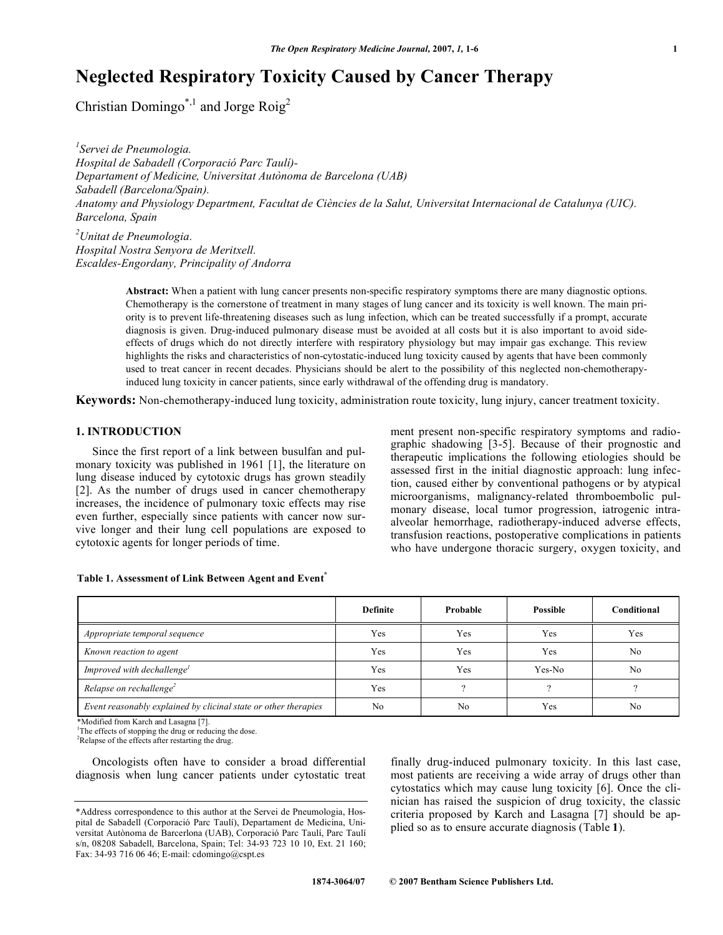# **Neglected Respiratory Toxicity Caused by Cancer Therapy**

Christian Domingo\*,<sup>1</sup> and Jorge Roig<sup>2</sup>

*1 Servei de Pneumologia. Hospital de Sabadell (Corporació Parc Taulí)- Departament of Medicine, Universitat Autònoma de Barcelona (UAB) Sabadell (Barcelona/Spain). Anatomy and Physiology Department, Facultat de Ciències de la Salut, Universitat Internacional de Catalunya (UIC). Barcelona, Spain* 

*2 Unitat de Pneumologia. Hospital Nostra Senyora de Meritxell. Escaldes-Engordany, Principality of Andorra* 

> **Abstract:** When a patient with lung cancer presents non-specific respiratory symptoms there are many diagnostic options. Chemotherapy is the cornerstone of treatment in many stages of lung cancer and its toxicity is well known. The main priority is to prevent life-threatening diseases such as lung infection, which can be treated successfully if a prompt, accurate diagnosis is given. Drug-induced pulmonary disease must be avoided at all costs but it is also important to avoid sideeffects of drugs which do not directly interfere with respiratory physiology but may impair gas exchange. This review highlights the risks and characteristics of non-cytostatic-induced lung toxicity caused by agents that have been commonly used to treat cancer in recent decades. Physicians should be alert to the possibility of this neglected non-chemotherapyinduced lung toxicity in cancer patients, since early withdrawal of the offending drug is mandatory.

**Keywords:** Non-chemotherapy-induced lung toxicity, administration route toxicity, lung injury, cancer treatment toxicity.

# **1. INTRODUCTION**

 Since the first report of a link between busulfan and pulmonary toxicity was published in 1961 [1], the literature on lung disease induced by cytotoxic drugs has grown steadily [2]. As the number of drugs used in cancer chemotherapy increases, the incidence of pulmonary toxic effects may rise even further, especially since patients with cancer now survive longer and their lung cell populations are exposed to cytotoxic agents for longer periods of time.

ment present non-specific respiratory symptoms and radiographic shadowing [3-5]. Because of their prognostic and therapeutic implications the following etiologies should be assessed first in the initial diagnostic approach: lung infection, caused either by conventional pathogens or by atypical microorganisms, malignancy-related thromboembolic pulmonary disease, local tumor progression, iatrogenic intraalveolar hemorrhage, radiotherapy-induced adverse effects, transfusion reactions, postoperative complications in patients who have undergone thoracic surgery, oxygen toxicity, and

|                                                                 | <b>Definite</b> | Probable | <b>Possible</b> | Conditional |
|-----------------------------------------------------------------|-----------------|----------|-----------------|-------------|
| Appropriate temporal sequence                                   | Yes             | Yes      | Yes             | Yes         |
| Known reaction to agent                                         | Yes             | Yes      | Yes             | No          |
| Improved with dechallenge <sup>1</sup>                          | Yes             | Yes      | Yes-No          | No          |
| Relapse on rechallenge <sup>2</sup>                             | Yes             |          |                 |             |
| Event reasonably explained by clicinal state or other therapies | No              | No       | Yes             | No          |

#### **Table 1. Assessment of Link Between Agent and Event\***

\*Modified from Karch and Lasagna [7].

<sup>1</sup>The effects of stopping the drug or reducing the dose.

<sup>2</sup>Relapse of the effects after restarting the drug.

 Oncologists often have to consider a broad differential diagnosis when lung cancer patients under cytostatic treat finally drug-induced pulmonary toxicity. In this last case, most patients are receiving a wide array of drugs other than cytostatics which may cause lung toxicity [6]. Once the clinician has raised the suspicion of drug toxicity, the classic criteria proposed by Karch and Lasagna [7] should be applied so as to ensure accurate diagnosis (Table **1**).

<sup>\*</sup>Address correspondence to this author at the Servei de Pneumologia, Hospital de Sabadell (Corporació Parc Taulí), Departament de Medicina, Universitat Autònoma de Barcerlona (UAB), Corporació Parc Taulí, Parc Taulí s/n, 08208 Sabadell, Barcelona, Spain; Tel: 34-93 723 10 10, Ext. 21 160; Fax: 34-93 716 06 46; E-mail: cdomingo@cspt.es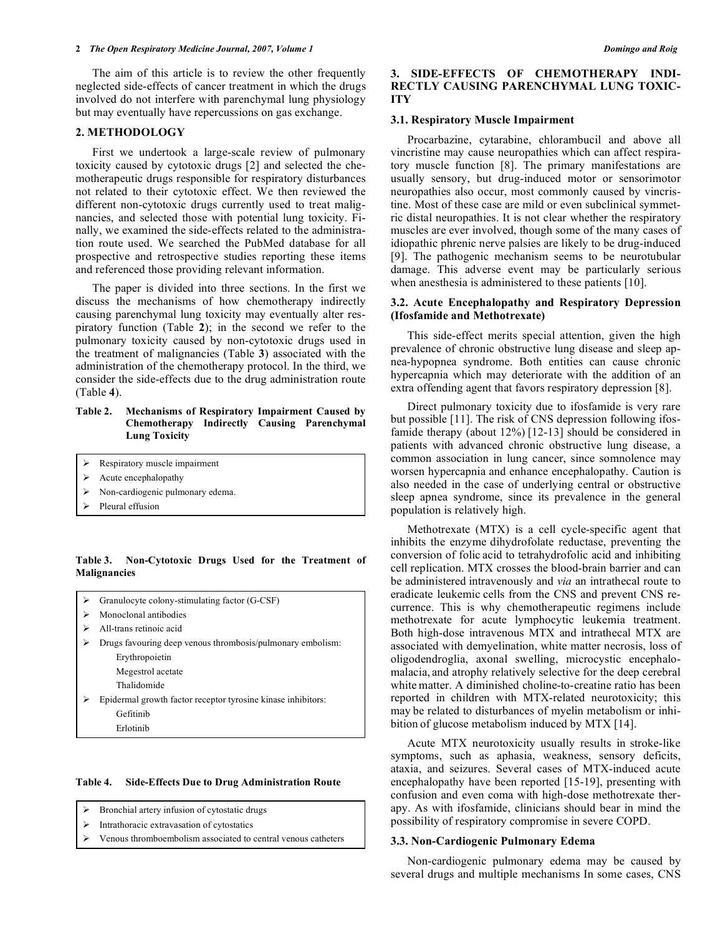The aim of this article is to review the other frequently neglected side-effects of cancer treatment in which the drugs involved do not interfere with parenchymal lung physiology but may eventually have repercussions on gas exchange.

#### **2. METHODOLOGY**

 First we undertook a large-scale review of pulmonary toxicity caused by cytotoxic drugs [2] and selected the chemotherapeutic drugs responsible for respiratory disturbances not related to their cytotoxic effect. We then reviewed the different non-cytotoxic drugs currently used to treat malignancies, and selected those with potential lung toxicity. Finally, we examined the side-effects related to the administration route used. We searched the PubMed database for all prospective and retrospective studies reporting these items and referenced those providing relevant information.

 The paper is divided into three sections. In the first we discuss the mechanisms of how chemotherapy indirectly causing parenchymal lung toxicity may eventually alter respiratory function (Table **2**); in the second we refer to the pulmonary toxicity caused by non-cytotoxic drugs used in the treatment of malignancies (Table **3**) associated with the administration of the chemotherapy protocol. In the third, we consider the side-effects due to the drug administration route (Table **4**).

#### **Table 2. Mechanisms of Respiratory Impairment Caused by Chemotherapy Indirectly Causing Parenchymal Lung Toxicity**

- -Respiratory muscle impairment
- -Acute encephalopathy
- -Non-cardiogenic pulmonary edema.
- -Pleural effusion

**Table 3. Non-Cytotoxic Drugs Used for the Treatment of Malignancies** 

| Granulocyte colony-stimulating factor (G-CSF)                |
|--------------------------------------------------------------|
| Monoclonal antibodies                                        |
| All-trans retinoic acid                                      |
| Drugs favouring deep venous thrombosis/pulmonary embolism:   |
| Erythropoietin                                               |
| Megestrol acetate                                            |
| Thalidomide                                                  |
| Epidermal growth factor receptor tyrosine kinase inhibitors: |
| Gefitinib                                                    |
| Erlotinib                                                    |
|                                                              |

#### **Table 4. Side-Effects Due to Drug Administration Route**

| Bronchial artery infusion of cytostatic drugs |
|-----------------------------------------------|
| Intrathoracic extravasation of cytostatics    |

-Venous thromboembolism associated to central venous catheters

#### **3. SIDE-EFFECTS OF CHEMOTHERAPY INDI-RECTLY CAUSING PARENCHYMAL LUNG TOXIC-ITY**

#### **3.1. Respiratory Muscle Impairment**

 Procarbazine, cytarabine, chlorambucil and above all vincristine may cause neuropathies which can affect respiratory muscle function [8]. The primary manifestations are usually sensory, but drug-induced motor or sensorimotor neuropathies also occur, most commonly caused by vincristine. Most of these case are mild or even subclinical symmetric distal neuropathies. It is not clear whether the respiratory muscles are ever involved, though some of the many cases of idiopathic phrenic nerve palsies are likely to be drug-induced [9]. The pathogenic mechanism seems to be neurotubular damage. This adverse event may be particularly serious when anesthesia is administered to these patients [10].

#### **3.2. Acute Encephalopathy and Respiratory Depression (Ifosfamide and Methotrexate)**

 This side-effect merits special attention, given the high prevalence of chronic obstructive lung disease and sleep apnea-hypopnea syndrome. Both entities can cause chronic hypercapnia which may deteriorate with the addition of an extra offending agent that favors respiratory depression [8].

 Direct pulmonary toxicity due to ifosfamide is very rare but possible [11]. The risk of CNS depression following ifosfamide therapy (about 12%) [12-13] should be considered in patients with advanced chronic obstructive lung disease, a common association in lung cancer, since somnolence may worsen hypercapnia and enhance encephalopathy. Caution is also needed in the case of underlying central or obstructive sleep apnea syndrome, since its prevalence in the general population is relatively high.

 Methotrexate (MTX) is a cell cycle-specific agent that inhibits the enzyme dihydrofolate reductase, preventing the conversion of folic acid to tetrahydrofolic acid and inhibiting cell replication. MTX crosses the blood-brain barrier and can be administered intravenously and *via* an intrathecal route to eradicate leukemic cells from the CNS and prevent CNS recurrence. This is why chemotherapeutic regimens include methotrexate for acute lymphocytic leukemia treatment. Both high-dose intravenous MTX and intrathecal MTX are associated with demyelination, white matter necrosis, loss of oligodendroglia, axonal swelling, microcystic encephalomalacia, and atrophy relatively selective for the deep cerebral white matter. A diminished choline-to-creatine ratio has been reported in children with MTX-related neurotoxicity; this may be related to disturbances of myelin metabolism or inhibition of glucose metabolism induced by MTX [14].

 Acute MTX neurotoxicity usually results in stroke-like symptoms, such as aphasia, weakness, sensory deficits, ataxia, and seizures. Several cases of MTX-induced acute encephalopathy have been reported [15-19], presenting with confusion and even coma with high-dose methotrexate therapy. As with ifosfamide, clinicians should bear in mind the possibility of respiratory compromise in severe COPD.

#### **3.3. Non-Cardiogenic Pulmonary Edema**

 Non-cardiogenic pulmonary edema may be caused by several drugs and multiple mechanisms In some cases, CNS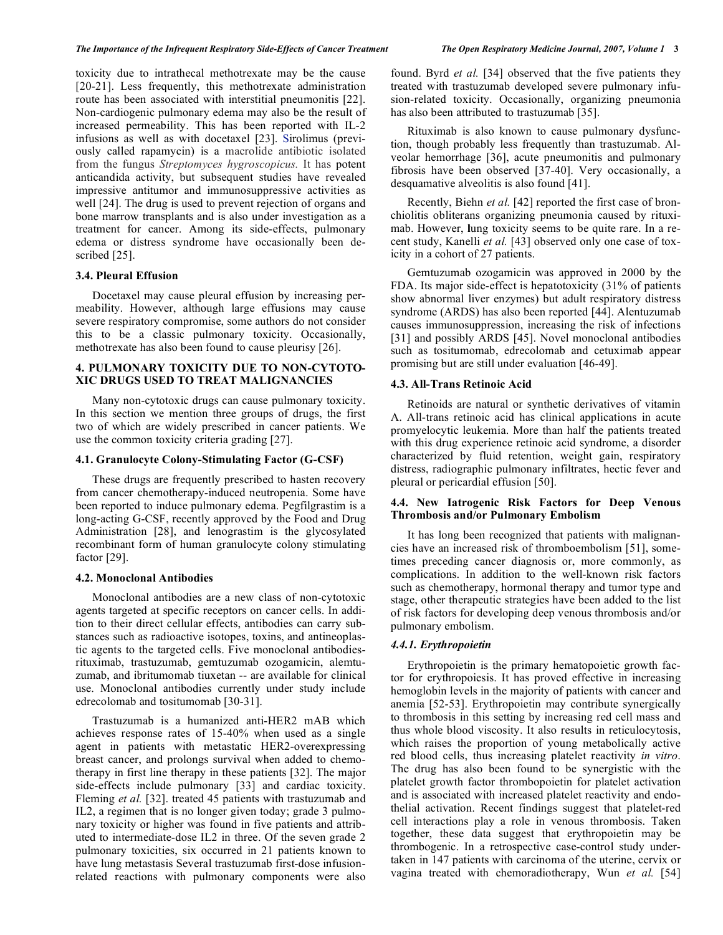toxicity due to intrathecal methotrexate may be the cause [20-21]. Less frequently, this methotrexate administration route has been associated with interstitial pneumonitis [22]. Non-cardiogenic pulmonary edema may also be the result of increased permeability. This has been reported with IL-2 infusions as well as with docetaxel [23]. Sirolimus (previously called rapamycin) is a macrolide antibiotic isolated from the fungus *Streptomyces hygroscopicus.* It has potent anticandida activity, but subsequent studies have revealed impressive antitumor and immunosuppressive activities as well [24]. The drug is used to prevent rejection of organs and bone marrow transplants and is also under investigation as a treatment for cancer. Among its side-effects, pulmonary edema or distress syndrome have occasionally been described [25].

# **3.4. Pleural Effusion**

 Docetaxel may cause pleural effusion by increasing permeability. However, although large effusions may cause severe respiratory compromise, some authors do not consider this to be a classic pulmonary toxicity. Occasionally, methotrexate has also been found to cause pleurisy [26].

### **4. PULMONARY TOXICITY DUE TO NON-CYTOTO-XIC DRUGS USED TO TREAT MALIGNANCIES**

 Many non-cytotoxic drugs can cause pulmonary toxicity. In this section we mention three groups of drugs, the first two of which are widely prescribed in cancer patients. We use the common toxicity criteria grading [27].

#### **4.1. Granulocyte Colony-Stimulating Factor (G-CSF)**

 These drugs are frequently prescribed to hasten recovery from cancer chemotherapy-induced neutropenia. Some have been reported to induce pulmonary edema. Pegfilgrastim is a long-acting G-CSF, recently approved by the Food and Drug Administration [28], and lenograstim is the glycosylated recombinant form of human granulocyte colony stimulating factor [29].

#### **4.2. Monoclonal Antibodies**

 Monoclonal antibodies are a new class of non-cytotoxic agents targeted at specific receptors on cancer cells. In addition to their direct cellular effects, antibodies can carry substances such as radioactive isotopes, toxins, and antineoplastic agents to the targeted cells. Five monoclonal antibodiesrituximab, trastuzumab, gemtuzumab ozogamicin, alemtuzumab, and ibritumomab tiuxetan -- are available for clinical use. Monoclonal antibodies currently under study include edrecolomab and tositumomab [30-31].

 Trastuzumab is a humanized anti-HER2 mAB which achieves response rates of 15-40% when used as a single agent in patients with metastatic HER2-overexpressing breast cancer, and prolongs survival when added to chemotherapy in first line therapy in these patients [32]. The major side-effects include pulmonary [33] and cardiac toxicity. Fleming *et al.* [32]. treated 45 patients with trastuzumab and IL2, a regimen that is no longer given today; grade 3 pulmonary toxicity or higher was found in five patients and attributed to intermediate-dose IL2 in three. Of the seven grade 2 pulmonary toxicities, six occurred in 21 patients known to have lung metastasis Several trastuzumab first-dose infusionrelated reactions with pulmonary components were also

found. Byrd *et al.* [34] observed that the five patients they treated with trastuzumab developed severe pulmonary infusion-related toxicity. Occasionally, organizing pneumonia has also been attributed to trastuzumab [35].

Rituximab is also known to cause pulmonary dysfunction, though probably less frequently than trastuzumab. Alveolar hemorrhage [36], acute pneumonitis and pulmonary fibrosis have been observed [37-40]. Very occasionally, a desquamative alveolitis is also found [41].

 Recently, Biehn *et al.* [42] reported the first case of bronchiolitis obliterans organizing pneumonia caused by rituximab. However, **l**ung toxicity seems to be quite rare. In a recent study, Kanelli *et al.* [43] observed only one case of toxicity in a cohort of 27 patients.

 Gemtuzumab ozogamicin was approved in 2000 by the FDA. Its major side-effect is hepatotoxicity (31% of patients show abnormal liver enzymes) but adult respiratory distress syndrome (ARDS) has also been reported [44]. Alentuzumab causes immunosuppression, increasing the risk of infections [31] and possibly ARDS [45]. Novel monoclonal antibodies such as tositumomab, edrecolomab and cetuximab appear promising but are still under evaluation [46-49].

#### **4.3. All-Trans Retinoic Acid**

 Retinoids are natural or synthetic derivatives of vitamin A. All-trans retinoic acid has clinical applications in acute promyelocytic leukemia. More than half the patients treated with this drug experience retinoic acid syndrome, a disorder characterized by fluid retention, weight gain, respiratory distress, radiographic pulmonary infiltrates, hectic fever and pleural or pericardial effusion [50].

#### **4.4. New Iatrogenic Risk Factors for Deep Venous Thrombosis and/or Pulmonary Embolism**

 It has long been recognized that patients with malignancies have an increased risk of thromboembolism [51], sometimes preceding cancer diagnosis or, more commonly, as complications. In addition to the well-known risk factors such as chemotherapy, hormonal therapy and tumor type and stage, other therapeutic strategies have been added to the list of risk factors for developing deep venous thrombosis and/or pulmonary embolism.

#### *4.4.1. Erythropoietin*

 Erythropoietin is the primary hematopoietic growth factor for erythropoiesis. It has proved effective in increasing hemoglobin levels in the majority of patients with cancer and anemia [52-53]. Erythropoietin may contribute synergically to thrombosis in this setting by increasing red cell mass and thus whole blood viscosity. It also results in reticulocytosis, which raises the proportion of young metabolically active red blood cells, thus increasing platelet reactivity *in vitro*. The drug has also been found to be synergistic with the platelet growth factor thrombopoietin for platelet activation and is associated with increased platelet reactivity and endothelial activation. Recent findings suggest that platelet-red cell interactions play a role in venous thrombosis. Taken together, these data suggest that erythropoietin may be thrombogenic. In a retrospective case-control study undertaken in 147 patients with carcinoma of the uterine, cervix or vagina treated with chemoradiotherapy, Wun *et al.* [54]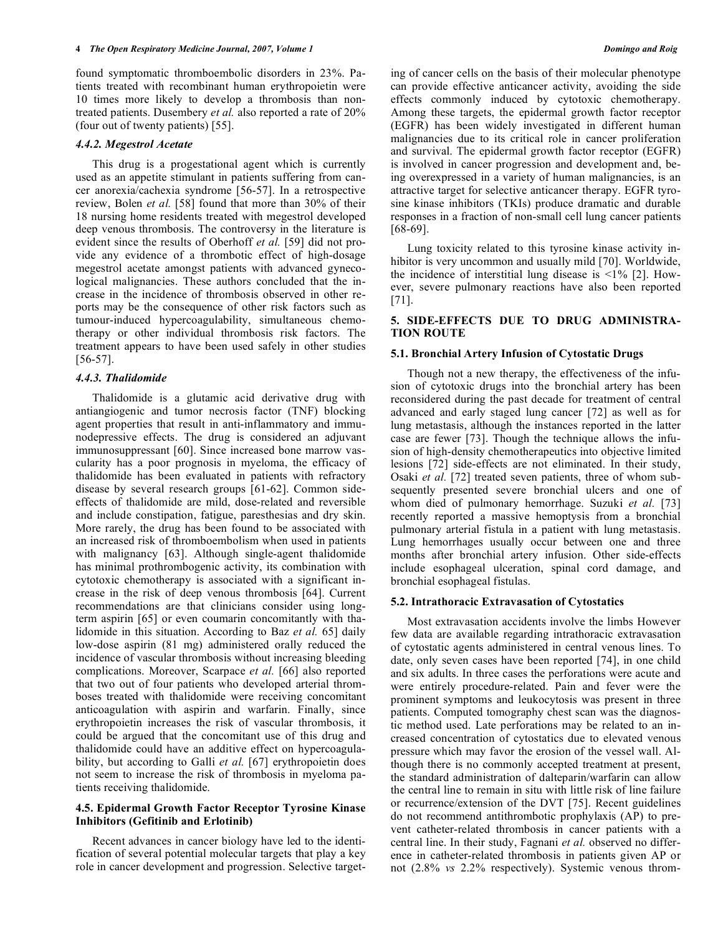found symptomatic thromboembolic disorders in 23%. Patients treated with recombinant human erythropoietin were 10 times more likely to develop a thrombosis than nontreated patients. Dusembery *et al.* also reported a rate of 20% (four out of twenty patients) [55].

### *4.4.2. Megestrol Acetate*

 This drug is a progestational agent which is currently used as an appetite stimulant in patients suffering from cancer anorexia/cachexia syndrome [56-57]. In a retrospective review, Bolen *et al.* [58] found that more than 30% of their 18 nursing home residents treated with megestrol developed deep venous thrombosis. The controversy in the literature is evident since the results of Oberhoff *et al.* [59] did not provide any evidence of a thrombotic effect of high-dosage megestrol acetate amongst patients with advanced gynecological malignancies. These authors concluded that the increase in the incidence of thrombosis observed in other reports may be the consequence of other risk factors such as tumour-induced hypercoagulability, simultaneous chemotherapy or other individual thrombosis risk factors. The treatment appears to have been used safely in other studies [56-57].

#### *4.4.3. Thalidomide*

 Thalidomide is a glutamic acid derivative drug with antiangiogenic and tumor necrosis factor (TNF) blocking agent properties that result in anti-inflammatory and immunodepressive effects. The drug is considered an adjuvant immunosuppressant [60]. Since increased bone marrow vascularity has a poor prognosis in myeloma, the efficacy of thalidomide has been evaluated in patients with refractory disease by several research groups [61-62]. Common sideeffects of thalidomide are mild, dose-related and reversible and include constipation, fatigue, paresthesias and dry skin. More rarely, the drug has been found to be associated with an increased risk of thromboembolism when used in patients with malignancy [63]. Although single-agent thalidomide has minimal prothrombogenic activity, its combination with cytotoxic chemotherapy is associated with a significant increase in the risk of deep venous thrombosis [64]. Current recommendations are that clinicians consider using longterm aspirin [65] or even coumarin concomitantly with thalidomide in this situation. According to Baz *et al.* 65] daily low-dose aspirin (81 mg) administered orally reduced the incidence of vascular thrombosis without increasing bleeding complications. Moreover, Scarpace *et al.* [66] also reported that two out of four patients who developed arterial thromboses treated with thalidomide were receiving concomitant anticoagulation with aspirin and warfarin. Finally, since erythropoietin increases the risk of vascular thrombosis, it could be argued that the concomitant use of this drug and thalidomide could have an additive effect on hypercoagulability, but according to Galli *et al.* [67] erythropoietin does not seem to increase the risk of thrombosis in myeloma patients receiving thalidomide.

#### **4.5. Epidermal Growth Factor Receptor Tyrosine Kinase Inhibitors (Gefitinib and Erlotinib)**

 Recent advances in cancer biology have led to the identification of several potential molecular targets that play a key role in cancer development and progression. Selective targeting of cancer cells on the basis of their molecular phenotype can provide effective anticancer activity, avoiding the side effects commonly induced by cytotoxic chemotherapy. Among these targets, the epidermal growth factor receptor (EGFR) has been widely investigated in different human malignancies due to its critical role in cancer proliferation and survival. The epidermal growth factor receptor (EGFR) is involved in cancer progression and development and, being overexpressed in a variety of human malignancies, is an attractive target for selective anticancer therapy. EGFR tyrosine kinase inhibitors (TKIs) produce dramatic and durable responses in a fraction of non-small cell lung cancer patients [68-69].

 Lung toxicity related to this tyrosine kinase activity inhibitor is very uncommon and usually mild [70]. Worldwide, the incidence of interstitial lung disease is  $\leq 1\%$  [2]. However, severe pulmonary reactions have also been reported [71].

### **5. SIDE-EFFECTS DUE TO DRUG ADMINISTRA-TION ROUTE**

#### **5.1. Bronchial Artery Infusion of Cytostatic Drugs**

 Though not a new therapy, the effectiveness of the infusion of cytotoxic drugs into the bronchial artery has been reconsidered during the past decade for treatment of central advanced and early staged lung cancer [72] as well as for lung metastasis, although the instances reported in the latter case are fewer [73]. Though the technique allows the infusion of high-density chemotherapeutics into objective limited lesions [72] side-effects are not eliminated. In their study, Osaki *et al.* [72] treated seven patients, three of whom subsequently presented severe bronchial ulcers and one of whom died of pulmonary hemorrhage. Suzuki *et al.* [73] recently reported a massive hemoptysis from a bronchial pulmonary arterial fistula in a patient with lung metastasis. Lung hemorrhages usually occur between one and three months after bronchial artery infusion. Other side-effects include esophageal ulceration, spinal cord damage, and bronchial esophageal fistulas.

#### **5.2. Intrathoracic Extravasation of Cytostatics**

 Most extravasation accidents involve the limbs However few data are available regarding intrathoracic extravasation of cytostatic agents administered in central venous lines. To date, only seven cases have been reported [74], in one child and six adults. In three cases the perforations were acute and were entirely procedure-related. Pain and fever were the prominent symptoms and leukocytosis was present in three patients. Computed tomography chest scan was the diagnostic method used. Late perforations may be related to an increased concentration of cytostatics due to elevated venous pressure which may favor the erosion of the vessel wall. Although there is no commonly accepted treatment at present, the standard administration of dalteparin/warfarin can allow the central line to remain in situ with little risk of line failure or recurrence/extension of the DVT [75]. Recent guidelines do not recommend antithrombotic prophylaxis (AP) to prevent catheter-related thrombosis in cancer patients with a central line. In their study, Fagnani *et al.* observed no difference in catheter-related thrombosis in patients given AP or not (2.8% *vs* 2.2% respectively). Systemic venous throm-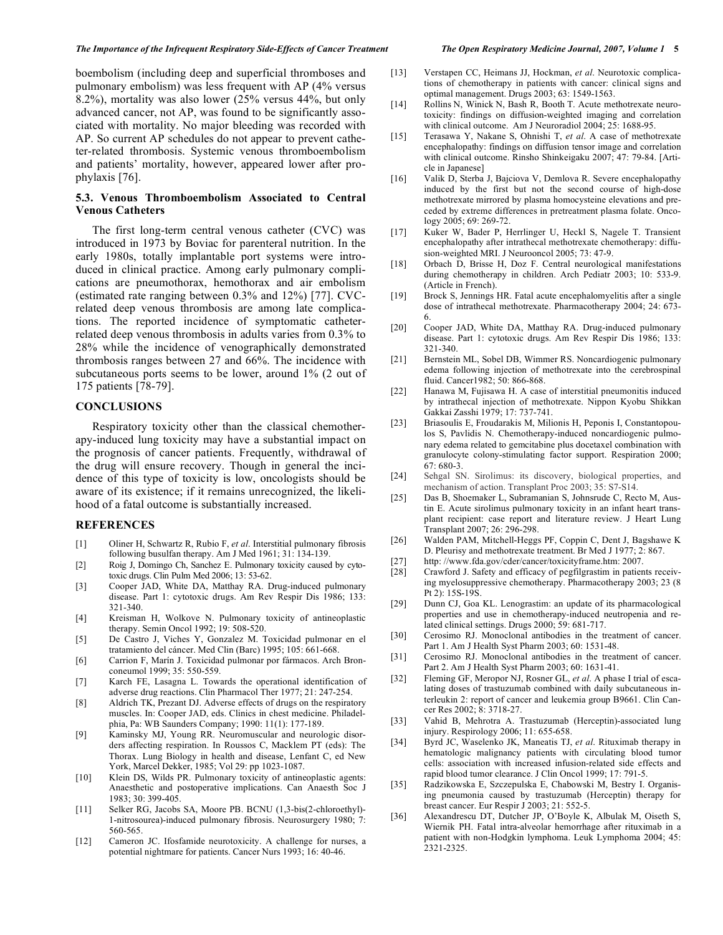#### *The Importance of the Infrequent Respiratory Side-Effects of Cancer Treatment The Open Respiratory Medicine Journal, 2007, Volume 1* **5**

boembolism (including deep and superficial thromboses and pulmonary embolism) was less frequent with AP (4% versus 8.2%), mortality was also lower (25% versus 44%, but only advanced cancer, not AP, was found to be significantly associated with mortality. No major bleeding was recorded with AP. So current AP schedules do not appear to prevent catheter-related thrombosis. Systemic venous thromboembolism and patients' mortality, however, appeared lower after prophylaxis [76].

#### **5.3. Venous Thromboembolism Associated to Central Venous Catheters**

 The first long-term central venous catheter (CVC) was introduced in 1973 by Boviac for parenteral nutrition. In the early 1980s, totally implantable port systems were introduced in clinical practice. Among early pulmonary complications are pneumothorax, hemothorax and air embolism (estimated rate ranging between 0.3% and 12%) [77]. CVCrelated deep venous thrombosis are among late complications. The reported incidence of symptomatic catheterrelated deep venous thrombosis in adults varies from 0.3% to 28% while the incidence of venographically demonstrated thrombosis ranges between 27 and 66%. The incidence with subcutaneous ports seems to be lower, around 1% (2 out of 175 patients [78-79].

#### **CONCLUSIONS**

 Respiratory toxicity other than the classical chemotherapy-induced lung toxicity may have a substantial impact on the prognosis of cancer patients. Frequently, withdrawal of the drug will ensure recovery. Though in general the incidence of this type of toxicity is low, oncologists should be aware of its existence; if it remains unrecognized, the likelihood of a fatal outcome is substantially increased.

#### **REFERENCES**

- [1] Oliner H, Schwartz R, Rubio F, *et al*. Interstitial pulmonary fibrosis following busulfan therapy. Am J Med 1961; 31: 134-139.
- [2] Roig J, Domingo Ch, Sanchez E. Pulmonary toxicity caused by cytotoxic drugs. Clin Pulm Med 2006; 13: 53-62.
- [3] Cooper JAD, White DA, Matthay RA. Drug-induced pulmonary disease. Part 1: cytotoxic drugs. Am Rev Respir Dis 1986; 133: 321-340.
- [4] Kreisman H, Wolkove N. Pulmonary toxicity of antineoplastic therapy. Semin Oncol 1992; 19: 508-520.
- [5] De Castro J, Viches Y, Gonzalez M. Toxicidad pulmonar en el tratamiento del cáncer. Med Clin (Barc) 1995; 105: 661-668.
- [6] Carrion F, Marín J. Toxicidad pulmonar por fármacos. Arch Bronconeumol 1999; 35: 550-559.
- [7] Karch FE, Lasagna L. Towards the operational identification of adverse drug reactions. Clin Pharmacol Ther 1977; 21: 247-254.
- [8] Aldrich TK, Prezant DJ. Adverse effects of drugs on the respiratory muscles. In: Cooper JAD, eds. Clinics in chest medicine. Philadelphia, Pa: WB Saunders Company; 1990: 11(1): 177-189.
- [9] Kaminsky MJ, Young RR. Neuromuscular and neurologic disorders affecting respiration. In Roussos C, Macklem PT (eds): The Thorax. Lung Biology in health and disease, Lenfant C, ed New York, Marcel Dekker, 1985; Vol 29: pp 1023-1087.
- [10] Klein DS, Wilds PR. Pulmonary toxicity of antineoplastic agents: Anaesthetic and postoperative implications. Can Anaesth Soc J 1983; 30: 399-405.
- [11] Selker RG, Jacobs SA, Moore PB. BCNU (1,3-bis(2-chloroethyl)-1-nitrosourea)-induced pulmonary fibrosis. Neurosurgery 1980; 7: 560-565.
- [12] Cameron JC. Ifosfamide neurotoxicity. A challenge for nurses, a potential nightmare for patients. Cancer Nurs 1993; 16: 40-46.

- [13] Verstapen CC, Heimans JJ, Hockman, *et al*. Neurotoxic complications of chemotherapy in patients with cancer: clinical signs and optimal management. Drugs 2003; 63: 1549-1563.
- [14] Rollins N, Winick N, Bash R, Booth T. Acute methotrexate neurotoxicity: findings on diffusion-weighted imaging and correlation with clinical outcome. Am J Neuroradiol 2004; 25: 1688-95.
- [15] Terasawa Y, Nakane S, Ohnishi T, *et al*. A case of methotrexate encephalopathy: findings on diffusion tensor image and correlation with clinical outcome. Rinsho Shinkeigaku 2007; 47: 79-84. [Article in Japanese]
- [16] Valik D, Sterba J, Bajciova V, Demlova R. Severe encephalopathy induced by the first but not the second course of high-dose methotrexate mirrored by plasma homocysteine elevations and preceded by extreme differences in pretreatment plasma folate. Oncology 2005; 69: 269-72.
- [17] Kuker W, Bader P, Herrlinger U, Heckl S, Nagele T. Transient encephalopathy after intrathecal methotrexate chemotherapy: diffusion-weighted MRI. J Neurooncol 2005; 73: 47-9.
- [18] Orbach D, Brisse H, Doz F. Central neurological manifestations during chemotherapy in children. Arch Pediatr 2003; 10: 533-9. (Article in French).
- [19] Brock S, Jennings HR. Fatal acute encephalomyelitis after a single dose of intrathecal methotrexate. Pharmacotherapy 2004; 24: 673- 6.
- [20] Cooper JAD, White DA, Matthay RA. Drug-induced pulmonary disease. Part 1: cytotoxic drugs. Am Rev Respir Dis 1986; 133: 321-340.
- [21] Bernstein ML, Sobel DB, Wimmer RS. Noncardiogenic pulmonary edema following injection of methotrexate into the cerebrospinal fluid. Cancer1982; 50: 866-868.
- [22] Hanawa M, Fujisawa H. A case of interstitial pneumonitis induced by intrathecal injection of methotrexate. Nippon Kyobu Shikkan Gakkai Zasshi 1979; 17: 737-741.
- [23] Briasoulis E, Froudarakis M, Milionis H, Peponis I, Constantopoulos S, Pavlidis N. Chemotherapy-induced noncardiogenic pulmonary edema related to gemcitabine plus docetaxel combination with granulocyte colony-stimulating factor support. Respiration 2000; 67: 680-3.
- [24] Sehgal SN. Sirolimus: its discovery, biological properties, and mechanism of action. Transplant Proc 2003; 35: S7-S14.
- [25] Das B, Shoemaker L, Subramanian S, Johnsrude C, Recto M, Austin E. Acute sirolimus pulmonary toxicity in an infant heart transplant recipient: case report and literature review. J Heart Lung Transplant 2007; 26: 296-298.
- [26] Walden PAM, Mitchell-Heggs PF, Coppin C, Dent J, Bagshawe K D. Pleurisy and methotrexate treatment. Br Med J 1977; 2: 867.
- [27] http: //www.fda.gov/cder/cancer/toxicityframe.htm: 2007.
- [28] Crawford J. Safety and efficacy of pegfilgrastim in patients receiving myelosuppressive chemotherapy. Pharmacotherapy 2003; 23 (8 Pt 2): 15S-19S.
- [29] Dunn CJ, Goa KL. Lenograstim: an update of its pharmacological properties and use in chemotherapy-induced neutropenia and related clinical settings. Drugs 2000; 59: 681-717.
- [30] Cerosimo RJ. Monoclonal antibodies in the treatment of cancer. Part 1. Am J Health Syst Pharm 2003; 60: 1531-48.
- [31] Cerosimo RJ. Monoclonal antibodies in the treatment of cancer. Part 2. Am J Health Syst Pharm 2003; 60: 1631-41.
- [32] Fleming GF, Meropor NJ, Rosner GL, *et al*. A phase I trial of escalating doses of trastuzumab combined with daily subcutaneous interleukin 2: report of cancer and leukemia group B9661. Clin Cancer Res 2002; 8: 3718-27.
- [33] Vahid B, Mehrotra A. Trastuzumab (Herceptin)-associated lung injury. Respirology 2006; 11: 655-658.
- [34] Byrd JC, Waselenko JK, Maneatis TJ, *et al*. Rituximab therapy in hematologic malignancy patients with circulating blood tumor cells: association with increased infusion-related side effects and rapid blood tumor clearance. J Clin Oncol 1999; 17: 791-5.
- [35] Radzikowska E, Szczepulska E, Chabowski M, Bestry I. Organising pneumonia caused by trastuzumab (Herceptin) therapy for breast cancer. Eur Respir J 2003; 21: 552-5.
- [36] Alexandrescu DT, Dutcher JP, O'Boyle K, Albulak M, Oiseth S, Wiernik PH. Fatal intra-alveolar hemorrhage after rituximab in a patient with non-Hodgkin lymphoma. Leuk Lymphoma 2004; 45: 2321-2325.